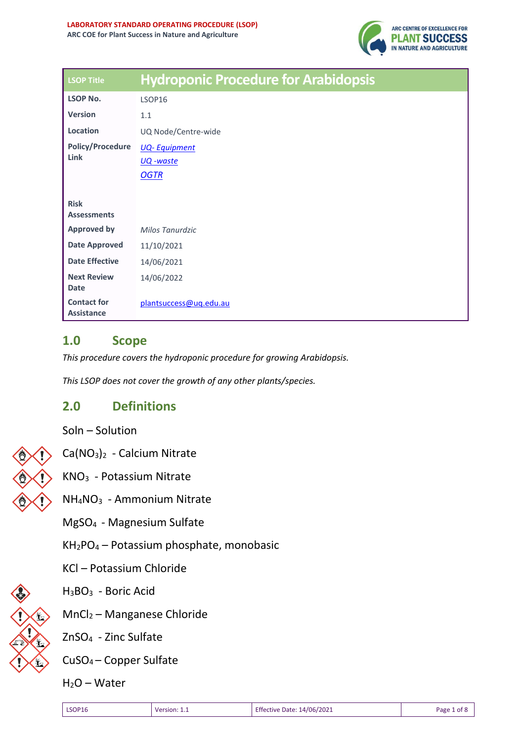

| <b>LSOP Title</b>                       | <b>Hydroponic Procedure for Arabidopsis</b> |
|-----------------------------------------|---------------------------------------------|
| <b>LSOP No.</b>                         | LSOP16                                      |
| <b>Version</b>                          | 1.1                                         |
| Location                                | UQ Node/Centre-wide                         |
| <b>Policy/Procedure</b>                 | <b>UQ-Equipment</b>                         |
| Link                                    | UQ -waste                                   |
|                                         | <b>OGTR</b>                                 |
|                                         |                                             |
| <b>Risk</b><br><b>Assessments</b>       |                                             |
| <b>Approved by</b>                      | Milos Tanurdzic                             |
| <b>Date Approved</b>                    | 11/10/2021                                  |
| <b>Date Effective</b>                   | 14/06/2021                                  |
| <b>Next Review</b><br><b>Date</b>       | 14/06/2022                                  |
| <b>Contact for</b><br><b>Assistance</b> | plantsuccess@uq.edu.au                      |

#### **1.0 Scope**

*This procedure covers the hydroponic procedure for growing Arabidopsis.*

*This LSOP does not cover the growth of any other plants/species.*

### **2.0 Definitions**

Soln – Solution



Ca(NO3)<sup>2</sup> - Calcium Nitrate

KNO<sup>3</sup> - Potassium Nitrate

NH4NO<sup>3</sup> - Ammonium Nitrate

MgSO<sup>4</sup> - Magnesium Sulfate

KH2PO<sup>4</sup> – Potassium phosphate, monobasic

KCl – Potassium Chloride



H3BO<sup>3</sup> - Boric Acid

MnCl<sup>2</sup> – Manganese Chloride

ZnSO<sup>4</sup> - Zinc Sulfate

CuSO<sup>4</sup> – Copper Sulfate

 $H<sub>2</sub>O - Water$ 

| <b>Effective Date: 14/06/2021</b><br><b>LSOP16</b><br>Page 1 of 8<br><b>Version: 1.</b> |  |
|-----------------------------------------------------------------------------------------|--|
|-----------------------------------------------------------------------------------------|--|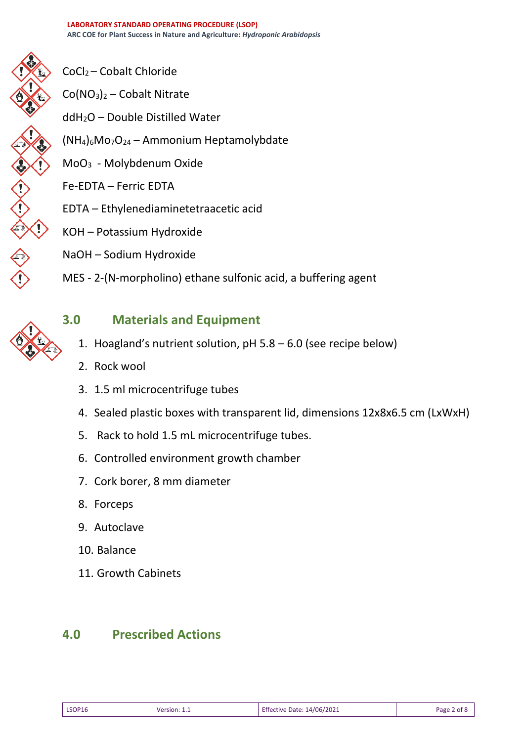

- CoCl<sup>2</sup> Cobalt Chloride
- $Co(NO<sub>3</sub>)<sub>2</sub> Cobalt Nitrate$
- ddH2O Double Distilled Water
- $(NH_4)_6MO_7O_{24}$  Ammonium Heptamolybdate
- MoO<sup>3</sup> Molybdenum Oxide
- Fe-EDTA Ferric EDTA
- EDTA Ethylenediaminetetraacetic acid
- KOH Potassium Hydroxide
- NaOH Sodium Hydroxide
- MES 2-(N-morpholino) ethane sulfonic acid, a buffering agent



# **3.0 Materials and Equipment**

- 1. Hoagland's nutrient solution, pH 5.8 6.0 (see recipe below)
- 2. Rock wool
- 3. 1.5 ml microcentrifuge tubes
- 4. Sealed plastic boxes with transparent lid, dimensions 12x8x6.5 cm (LxWxH)
- 5. Rack to hold 1.5 mL microcentrifuge tubes.
- 6. Controlled environment growth chamber
- 7. Cork borer, 8 mm diameter
- 8. Forceps
- 9. Autoclave
- 10. Balance
- 11. Growth Cabinets

## **4.0 Prescribed Actions**

| <b>LSOP16</b><br>√∩r | prsior<br>--<br>________ | Effective Date: 14/06/2021 | Page |
|----------------------|--------------------------|----------------------------|------|
|----------------------|--------------------------|----------------------------|------|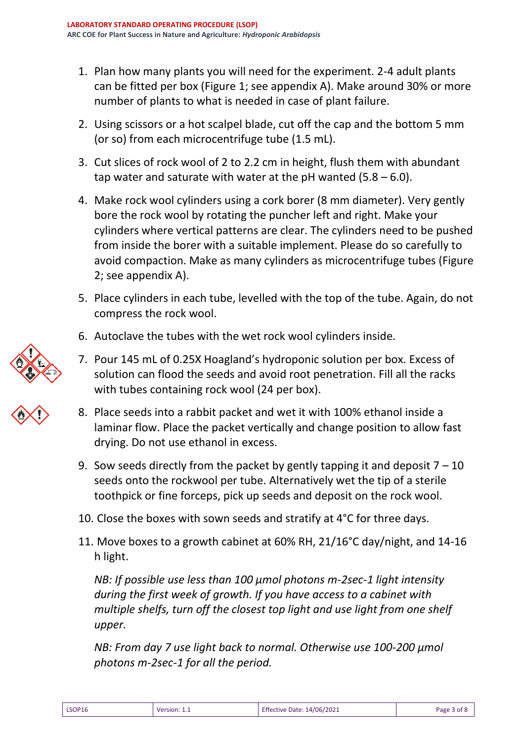- 1. Plan how many plants you will need for the experiment. 2-4 adult plants can be fitted per box (Figure 1; see appendix A). Make around 30% or more number of plants to what is needed in case of plant failure.
- 2. Using scissors or a hot scalpel blade, cut off the cap and the bottom 5 mm (or so) from each microcentrifuge tube (1.5 mL).
- 3. Cut slices of rock wool of 2 to 2.2 cm in height, flush them with abundant tap water and saturate with water at the pH wanted  $(5.8 - 6.0)$ .
- 4. Make rock wool cylinders using a cork borer (8 mm diameter). Very gently bore the rock wool by rotating the puncher left and right. Make your cylinders where vertical patterns are clear. The cylinders need to be pushed from inside the borer with a suitable implement. Please do so carefully to avoid compaction. Make as many cylinders as microcentrifuge tubes (Figure 2; see appendix A).
- 5. Place cylinders in each tube, levelled with the top of the tube. Again, do not compress the rock wool.
- 6. Autoclave the tubes with the wet rock wool cylinders inside.
- 7. Pour 145 mL of 0.25X Hoagland's hydroponic solution per box. Excess of solution can flood the seeds and avoid root penetration. Fill all the racks with tubes containing rock wool (24 per box).
- 8. Place seeds into a rabbit packet and wet it with 100% ethanol inside a laminar flow. Place the packet vertically and change position to allow fast drying. Do not use ethanol in excess.
- 9. Sow seeds directly from the packet by gently tapping it and deposit  $7 10$ seeds onto the rockwool per tube. Alternatively wet the tip of a sterile toothpick or fine forceps, pick up seeds and deposit on the rock wool.
- 10. Close the boxes with sown seeds and stratify at 4°C for three days.
- 11. Move boxes to a growth cabinet at 60% RH, 21/16°C day/night, and 14-16 h light.

*NB: If possible use less than 100 μmol photons m-2sec-1 light intensity during the first week of growth. If you have access to a cabinet with multiple shelfs, turn off the closest top light and use light from one shelf upper.* 

*NB: From day 7 use light back to normal. Otherwise use 100-200 μmol photons m-2sec-1 for all the period.*





| LSOP16 | Version: 1.1 | Effective Date: 14/06/2021 | Page 3 of 8 |
|--------|--------------|----------------------------|-------------|
|        |              |                            |             |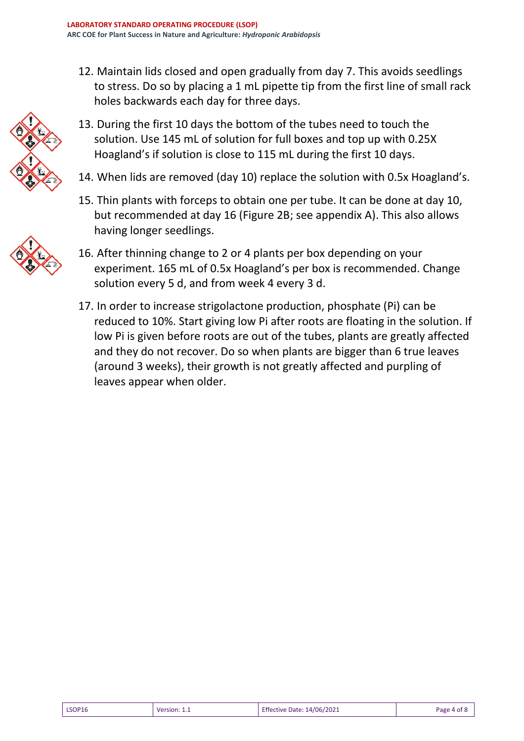12. Maintain lids closed and open gradually from day 7. This avoids seedlings to stress. Do so by placing a 1 mL pipette tip from the first line of small rack holes backwards each day for three days.



- 13. During the first 10 days the bottom of the tubes need to touch the solution. Use 145 mL of solution for full boxes and top up with 0.25X Hoagland's if solution is close to 115 mL during the first 10 days.
- 14. When lids are removed (day 10) replace the solution with 0.5x Hoagland's.
- 15. Thin plants with forceps to obtain one per tube. It can be done at day 10, but recommended at day 16 (Figure 2B; see appendix A). This also allows having longer seedlings.



- 16. After thinning change to 2 or 4 plants per box depending on your experiment. 165 mL of 0.5x Hoagland's per box is recommended. Change solution every 5 d, and from week 4 every 3 d.
- 17. In order to increase strigolactone production, phosphate (Pi) can be reduced to 10%. Start giving low Pi after roots are floating in the solution. If low Pi is given before roots are out of the tubes, plants are greatly affected and they do not recover. Do so when plants are bigger than 6 true leaves (around 3 weeks), their growth is not greatly affected and purpling of leaves appear when older.

|  | <b>LSOP16</b> | Version | 14/06/2021<br>Date:<br><b>Ettective</b> | . .<br>Page |
|--|---------------|---------|-----------------------------------------|-------------|
|--|---------------|---------|-----------------------------------------|-------------|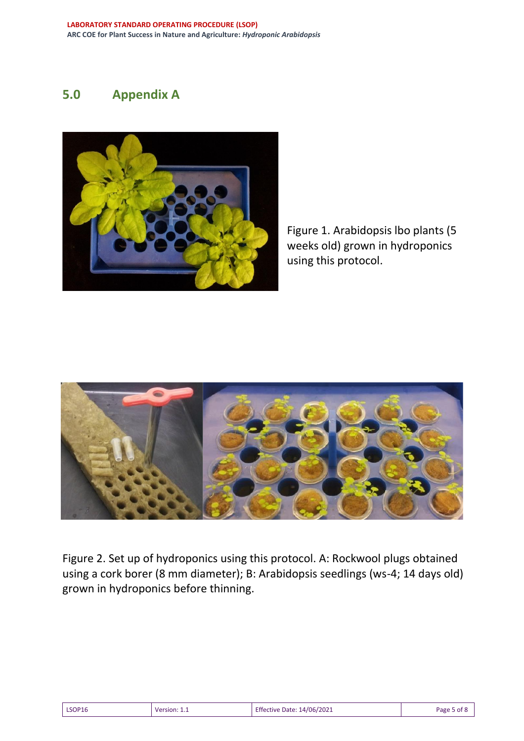# **5.0 Appendix A**



Figure 1. Arabidopsis lbo plants (5 weeks old) grown in hydroponics using this protocol.



Figure 2. Set up of hydroponics using this protocol. A: Rockwool plugs obtained using a cork borer (8 mm diameter); B: Arabidopsis seedlings (ws-4; 14 days old) grown in hydroponics before thinning.

| <b>LSOP16</b> | Version: 1.1 | Effective Date: 14/06/2021 | Page 5 of 8 |
|---------------|--------------|----------------------------|-------------|
|---------------|--------------|----------------------------|-------------|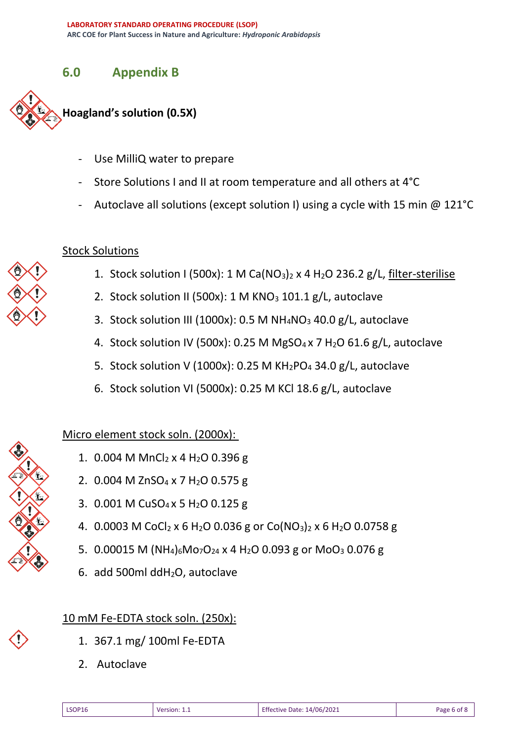### **6.0 Appendix B**



- Use MilliQ water to prepare
- Store Solutions I and II at room temperature and all others at 4°C
- Autoclave all solutions (except solution I) using a cycle with 15 min @ 121°C

### Stock Solutions

- 1. Stock solution I (500x): 1 M Ca( $NO<sub>3</sub>$ )<sub>2</sub> x 4 H<sub>2</sub>O 236.2 g/L, filter-sterilise
- 2. Stock solution II (500x): 1 M KNO<sub>3</sub> 101.1 g/L, autoclave
- 3. Stock solution III (1000x): 0.5 M  $NH_4NO_3$  40.0 g/L, autoclave
- 4. Stock solution IV (500x): 0.25 M MgSO<sub>4</sub> x 7 H<sub>2</sub>O 61.6 g/L, autoclave
- 5. Stock solution V (1000x): 0.25 M  $KH_2PO_4$  34.0 g/L, autoclave
- 6. Stock solution VI (5000x): 0.25 M KCl 18.6 g/L, autoclave

## Micro element stock soln. (2000x):

- 1.  $0.004$  M MnCl<sub>2</sub> x 4 H<sub>2</sub>O 0.396 g
- 2. 0.004 M ZnSO<sub>4</sub> x 7 H<sub>2</sub>O 0.575 g
- 3. 0.001 M CuSO<sup>4</sup> x 5 H2O 0.125 g
- 4. 0.0003 M CoCl<sub>2</sub> x 6 H<sub>2</sub>O 0.036 g or Co(NO<sub>3</sub>)<sub>2</sub> x 6 H<sub>2</sub>O 0.0758 g
- 5. 0.00015 M (NH<sub>4</sub>)<sub>6</sub>Mo<sub>7</sub>O<sub>24</sub> x 4 H<sub>2</sub>O 0.093 g or MoO<sub>3</sub> 0.076 g
- 6. add 500ml ddH2O, autoclave

## 10 mM Fe-EDTA stock soln. (250x):

- 1. 367.1 mg/ 100ml Fe-EDTA
- 2. Autoclave

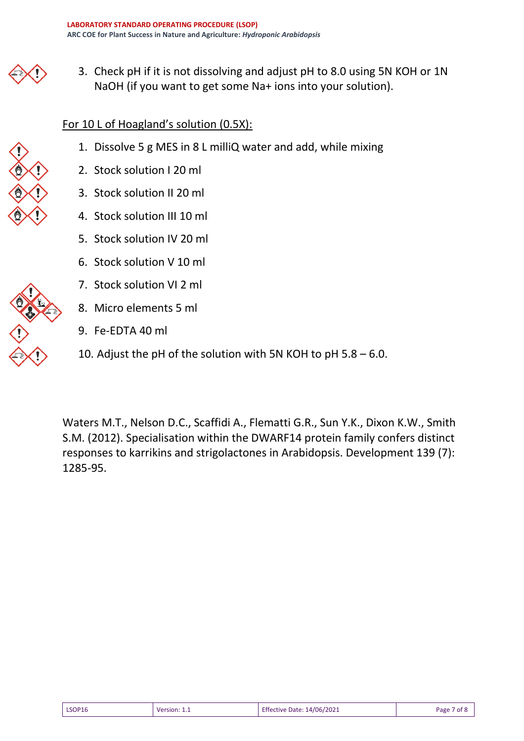3. Check pH if it is not dissolving and adjust pH to 8.0 using 5N KOH or 1N NaOH (if you want to get some Na+ ions into your solution).

#### For 10 L of Hoagland's solution (0.5X):

- 1. Dissolve 5 g MES in 8 L milliQ water and add, while mixing
- 2. Stock solution I 20 ml
- 3. Stock solution II 20 ml
- 4. Stock solution III 10 ml
- 5. Stock solution IV 20 ml
- 6. Stock solution V 10 ml
- 7. Stock solution VI 2 ml
- 8. Micro elements 5 ml
- 9. Fe-EDTA 40 ml
- 10. Adjust the pH of the solution with 5N KOH to pH 5.8 6.0.

Waters M.T., Nelson D.C., Scaffidi A., Flematti G.R., Sun Y.K., Dixon K.W., Smith S.M. (2012). Specialisation within the DWARF14 protein family confers distinct responses to karrikins and strigolactones in Arabidopsis. Development 139 (7): 1285-95.

| Effective Date: 14/06/2021<br><b>LSOP16</b><br>Version: 1.1 | Page 7 of 8 |
|-------------------------------------------------------------|-------------|
|-------------------------------------------------------------|-------------|